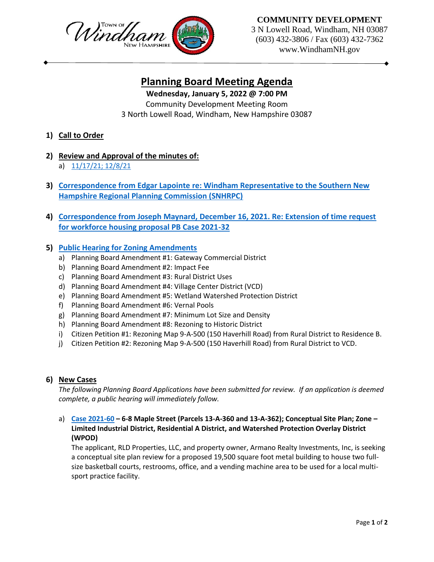

## **COMMUNITY DEVELOPMENT**

3 N Lowell Road, Windham, NH 03087 (603) 432-3806 / Fax (603) 432-7362 www.WindhamNH.gov

# **Planning Board Meeting Agenda**

# **Wednesday, January 5, 2022 @ 7:00 PM**

Community Development Meeting Room 3 North Lowell Road, Windham, New Hampshire 03087

- **1) Call to Order**
- **2) Review and Approval of the minutes of:** a) [11/17/21; 12/8/21](https://www.windhamnh.gov/DocumentCenter/Index/829)
- **3) Correspondence from Edgar Lapointe [re: Windham Representative to the Southern New](https://www.windhamnh.gov/DocumentCenter/View/11058/Edgar-Lapointe-SNHRPC-Letter)  [Hampshire Regional Planning Commission \(SNHRPC\)](https://www.windhamnh.gov/DocumentCenter/View/11058/Edgar-Lapointe-SNHRPC-Letter)**
- **4) Correspondence from Joseph Maynard, December 16, 2021. Re: Extension of time request for workforce housing proposal PB Case 2021-32**

## **5) [Public Hearing for Zoning Amendments](https://www.windhamnh.gov/DocumentCenter/Index/830)**

- a) Planning Board Amendment #1: Gateway Commercial District
- b) Planning Board Amendment #2: Impact Fee
- c) Planning Board Amendment #3: Rural District Uses
- d) Planning Board Amendment #4: Village Center District (VCD)
- e) Planning Board Amendment #5: Wetland Watershed Protection District
- f) Planning Board Amendment #6: Vernal Pools
- g) Planning Board Amendment #7: Minimum Lot Size and Density
- h) Planning Board Amendment #8: Rezoning to Historic District
- i) Citizen Petition #1: Rezoning Map 9-A-500 (150 Haverhill Road) from Rural District to Residence B.
- j) Citizen Petition #2: Rezoning Map 9-A-500 (150 Haverhill Road) from Rural District to VCD.

#### **6) New Cases**

*The following Planning Board Applications have been submitted for review. If an application is deemed complete, a public hearing will immediately follow.*

a) **[Case 2021-60](https://www.windhamnh.gov/DocumentCenter/Index/823) – 6-8 Maple Street (Parcels 13-A-360 and 13-A-362); Conceptual Site Plan; Zone – Limited Industrial District, Residential A District, and Watershed Protection Overlay District (WPOD)**

The applicant, RLD Properties, LLC, and property owner, Armano Realty Investments, Inc, is seeking a conceptual site plan review for a proposed 19,500 square foot metal building to house two fullsize basketball courts, restrooms, office, and a vending machine area to be used for a local multisport practice facility.